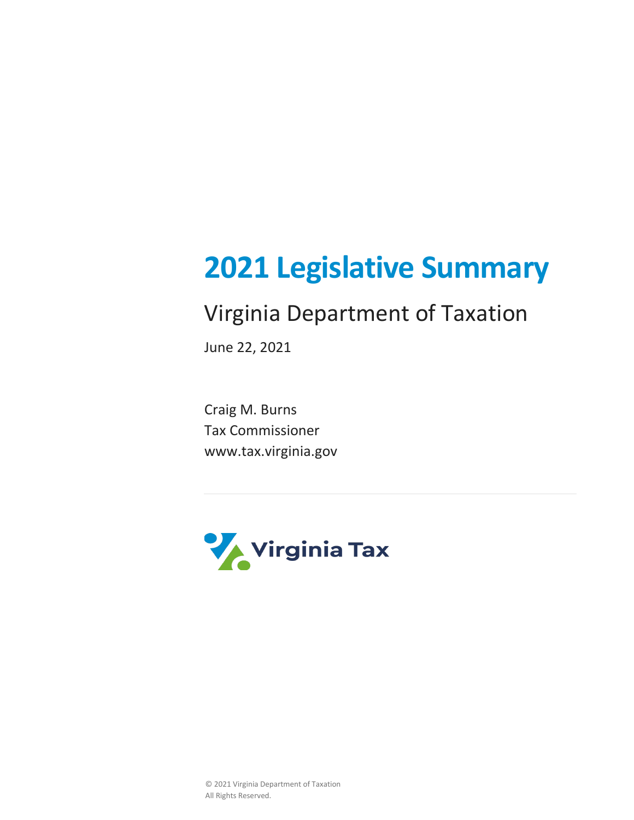# **2021 Legislative Summary**

## Virginia Department of Taxation

June 22, 2021

Craig M. Burns Tax Commissioner www.tax.virginia.gov

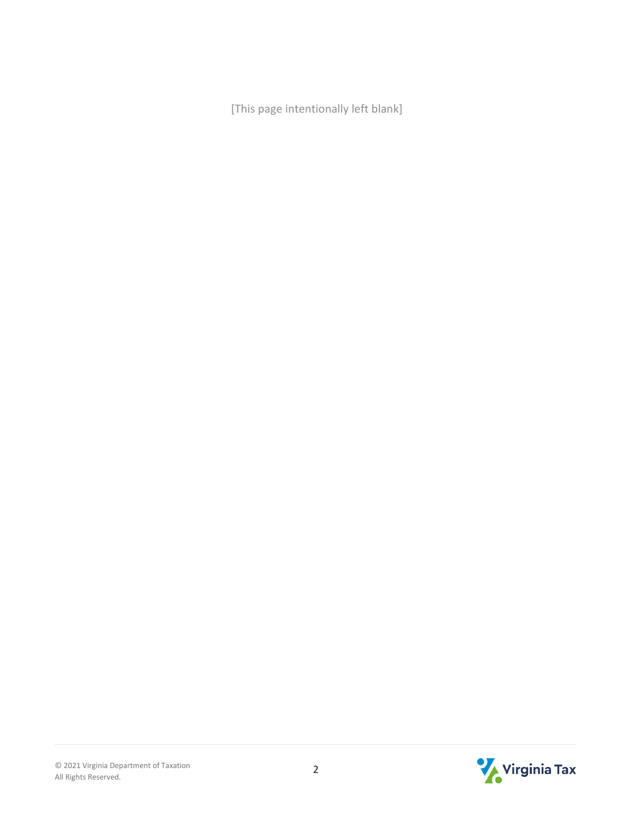[This page intentionally left blank]

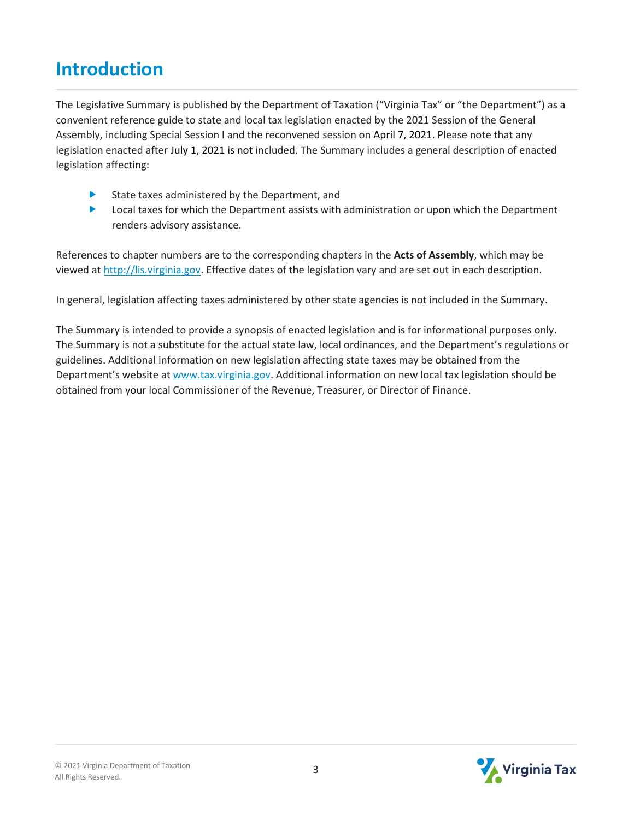## <span id="page-2-0"></span>**Introduction**

The Legislative Summary is published by the Department of Taxation ("Virginia Tax" or "the Department") as a convenient reference guide to state and local tax legislation enacted by the 2021 Session of the General Assembly, including Special Session I and the reconvened session on April 7, 2021. Please note that any legislation enacted after July 1, 2021 is not included. The Summary includes a general description of enacted legislation affecting:

- $\blacktriangleright$  State taxes administered by the Department, and
- **Local taxes for which the Department assists with administration or upon which the Department** renders advisory assistance.

References to chapter numbers are to the corresponding chapters in the **Acts of Assembly**, which may be viewed at [http://lis.virginia.gov.](http://lis.virginia.gov/) Effective dates of the legislation vary and are set out in each description.

In general, legislation affecting taxes administered by other state agencies is not included in the Summary.

The Summary is intended to provide a synopsis of enacted legislation and is for informational purposes only. The Summary is not a substitute for the actual state law, local ordinances, and the Department's regulations or guidelines. Additional information on new legislation affecting state taxes may be obtained from the Department's website at [www.tax.virginia.gov.](http://www.tax.virginia.gov/) Additional information on new local tax legislation should be obtained from your local Commissioner of the Revenue, Treasurer, or Director of Finance.

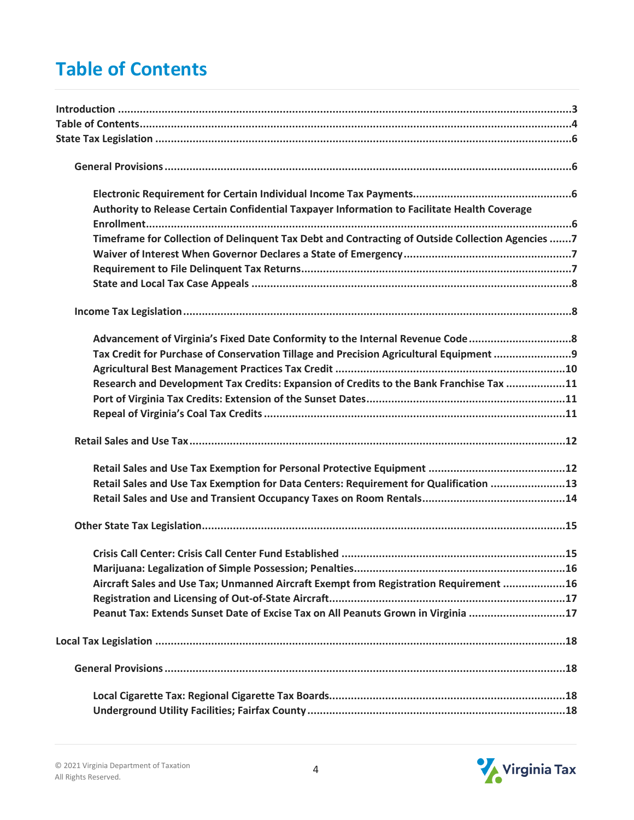## <span id="page-3-0"></span>**Table of Contents**

| Authority to Release Certain Confidential Taxpayer Information to Facilitate Health Coverage     |  |
|--------------------------------------------------------------------------------------------------|--|
|                                                                                                  |  |
| Timeframe for Collection of Delinguent Tax Debt and Contracting of Outside Collection Agencies 7 |  |
|                                                                                                  |  |
|                                                                                                  |  |
|                                                                                                  |  |
|                                                                                                  |  |
| Advancement of Virginia's Fixed Date Conformity to the Internal Revenue Code                     |  |
| Tax Credit for Purchase of Conservation Tillage and Precision Agricultural Equipment 9           |  |
|                                                                                                  |  |
| Research and Development Tax Credits: Expansion of Credits to the Bank Franchise Tax 11          |  |
|                                                                                                  |  |
|                                                                                                  |  |
|                                                                                                  |  |
|                                                                                                  |  |
| Retail Sales and Use Tax Exemption for Data Centers: Requirement for Qualification 13            |  |
|                                                                                                  |  |
|                                                                                                  |  |
|                                                                                                  |  |
|                                                                                                  |  |
| Aircraft Sales and Use Tax; Unmanned Aircraft Exempt from Registration Requirement 16            |  |
|                                                                                                  |  |
| Peanut Tax: Extends Sunset Date of Excise Tax on All Peanuts Grown in Virginia 17                |  |
|                                                                                                  |  |
|                                                                                                  |  |
|                                                                                                  |  |
|                                                                                                  |  |

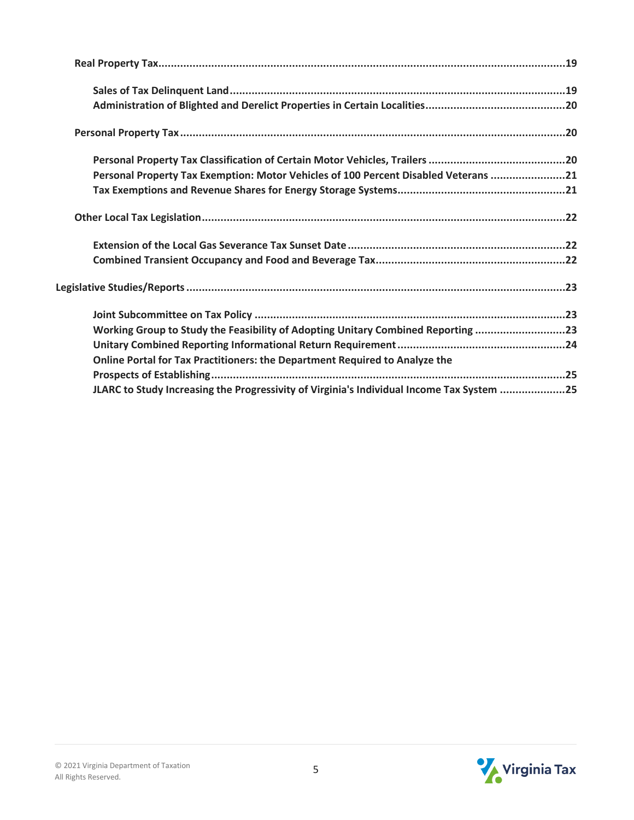| Personal Property Tax Exemption: Motor Vehicles of 100 Percent Disabled Veterans 21       |
|-------------------------------------------------------------------------------------------|
|                                                                                           |
|                                                                                           |
|                                                                                           |
|                                                                                           |
|                                                                                           |
|                                                                                           |
| Working Group to Study the Feasibility of Adopting Unitary Combined Reporting 23          |
|                                                                                           |
| Online Portal for Tax Practitioners: the Department Required to Analyze the               |
|                                                                                           |
| JLARC to Study Increasing the Progressivity of Virginia's Individual Income Tax System 25 |

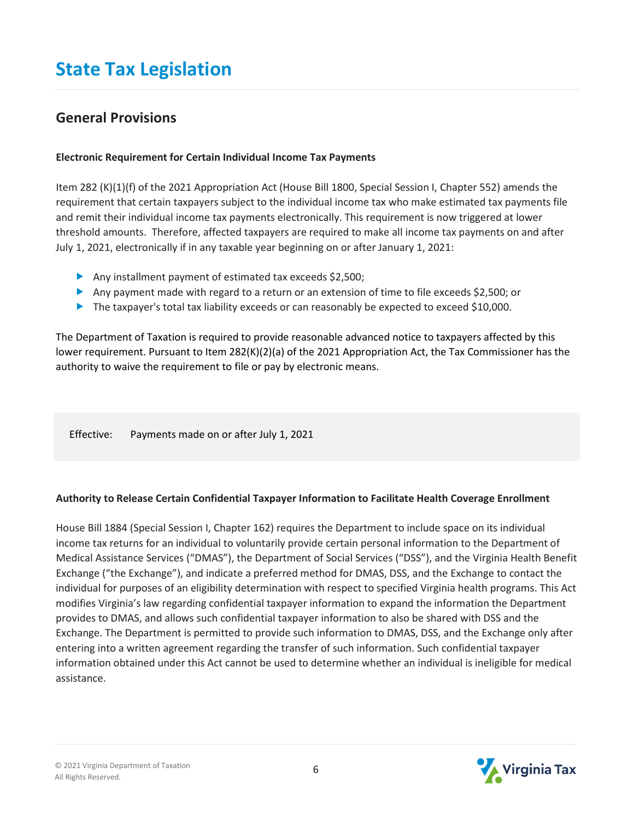## <span id="page-5-0"></span>**State Tax Legislation**

### <span id="page-5-1"></span>**General Provisions**

#### <span id="page-5-2"></span>**Electronic Requirement for Certain Individual Income Tax Payments**

Item 282 (K)(1)(f) of the 2021 Appropriation Act (House Bill 1800, Special Session I, Chapter 552) amends the requirement that certain taxpayers subject to the individual income tax who make estimated tax payments file and remit their individual income tax payments electronically. This requirement is now triggered at lower threshold amounts. Therefore, affected taxpayers are required to make all income tax payments on and after July 1, 2021, electronically if in any taxable year beginning on or after January 1, 2021:

- Any installment payment of estimated tax exceeds \$2,500;
- Any payment made with regard to a return or an extension of time to file exceeds \$2,500; or
- The taxpayer's total tax liability exceeds or can reasonably be expected to exceed \$10,000.

The Department of Taxation is required to provide reasonable advanced notice to taxpayers affected by this lower requirement. Pursuant to Item 282(K)(2)(a) of the 2021 Appropriation Act, the Tax Commissioner has the authority to waive the requirement to file or pay by electronic means.

Effective: Payments made on or after July 1, 2021

#### <span id="page-5-3"></span>**Authority to Release Certain Confidential Taxpayer Information to Facilitate Health Coverage Enrollment**

House Bill 1884 (Special Session I, Chapter 162) requires the Department to include space on its individual income tax returns for an individual to voluntarily provide certain personal information to the Department of Medical Assistance Services ("DMAS"), the Department of Social Services ("DSS"), and the Virginia Health Benefit Exchange ("the Exchange"), and indicate a preferred method for DMAS, DSS, and the Exchange to contact the individual for purposes of an eligibility determination with respect to specified Virginia health programs. This Act modifies Virginia's law regarding confidential taxpayer information to expand the information the Department provides to DMAS, and allows such confidential taxpayer information to also be shared with DSS and the Exchange. The Department is permitted to provide such information to DMAS, DSS, and the Exchange only after entering into a written agreement regarding the transfer of such information. Such confidential taxpayer information obtained under this Act cannot be used to determine whether an individual is ineligible for medical assistance.

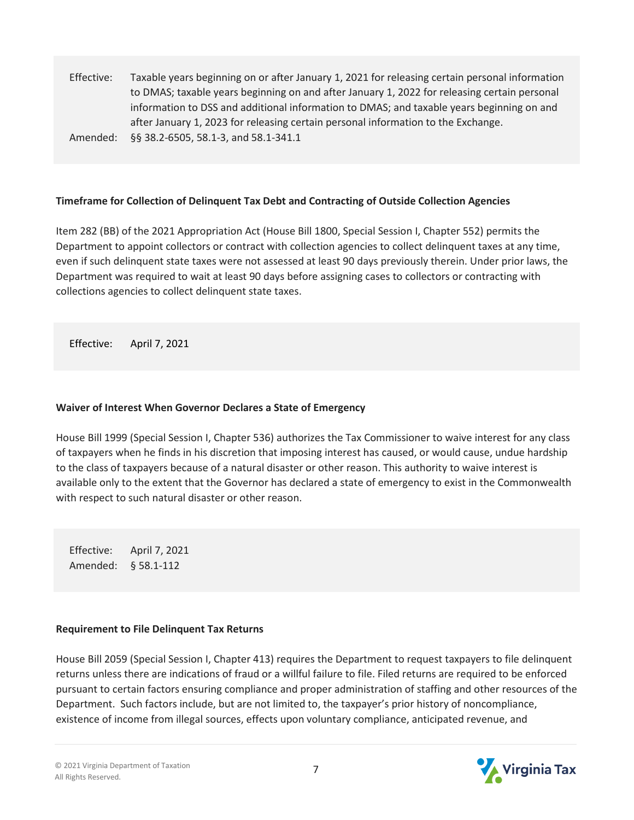Effective: Taxable years beginning on or after January 1, 2021 for releasing certain personal information to DMAS; taxable years beginning on and after January 1, 2022 for releasing certain personal information to DSS and additional information to DMAS; and taxable years beginning on and after January 1, 2023 for releasing certain personal information to the Exchange. Amended: §§ [38.2-6505,](http://law.lis.virginia.gov/vacode/38.2-6505) [58.1-3,](http://law.lis.virginia.gov/vacode/58.1-3) and [58.1-341.1](http://law.lis.virginia.gov/vacode/58.1-341.1)

#### <span id="page-6-0"></span>**Timeframe for Collection of Delinquent Tax Debt and Contracting of Outside Collection Agencies**

Item 282 (BB) of the 2021 Appropriation Act (House Bill 1800, Special Session I, Chapter 552) permits the Department to appoint collectors or contract with collection agencies to collect delinquent taxes at any time, even if such delinquent state taxes were not assessed at least 90 days previously therein. Under prior laws, the Department was required to wait at least 90 days before assigning cases to collectors or contracting with collections agencies to collect delinquent state taxes.

Effective: April 7, 2021

#### <span id="page-6-1"></span>**Waiver of Interest When Governor Declares a State of Emergency**

House Bill 1999 (Special Session I, Chapter 536) authorizes the Tax Commissioner to waive interest for any class of taxpayers when he finds in his discretion that imposing interest has caused, or would cause, undue hardship to the class of taxpayers because of a natural disaster or other reason. This authority to waive interest is available only to the extent that the Governor has declared a state of emergency to exist in the Commonwealth with respect to such natural disaster or other reason.

Effective: April 7, 2021 Amended: § 58.1-112

#### <span id="page-6-2"></span>**Requirement to File Delinquent Tax Returns**

House Bill 2059 (Special Session I, Chapter 413) requires the Department to request taxpayers to file delinquent returns unless there are indications of fraud or a willful failure to file. Filed returns are required to be enforced pursuant to certain factors ensuring compliance and proper administration of staffing and other resources of the Department. Such factors include, but are not limited to, the taxpayer's prior history of noncompliance, existence of income from illegal sources, effects upon voluntary compliance, anticipated revenue, and

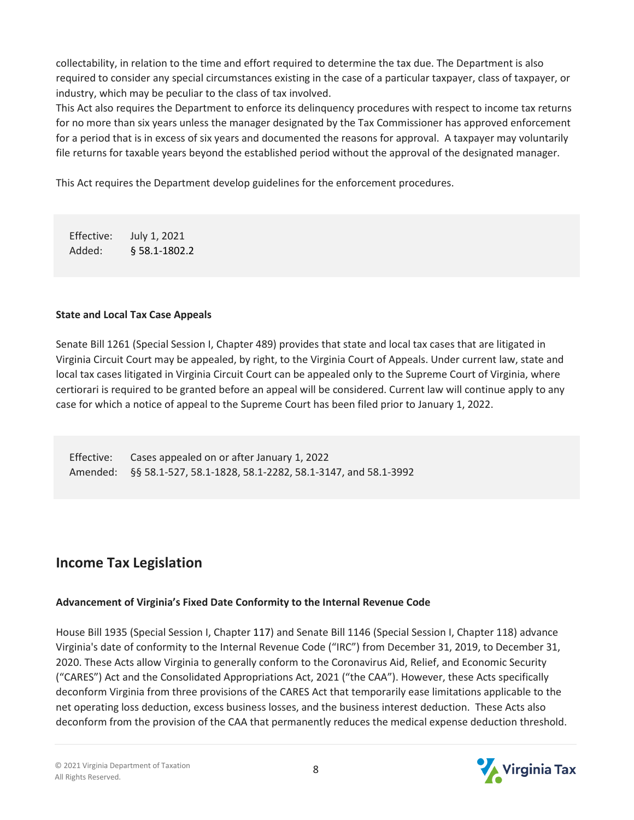collectability, in relation to the time and effort required to determine the tax due. The Department is also required to consider any special circumstances existing in the case of a particular taxpayer, class of taxpayer, or industry, which may be peculiar to the class of tax involved.

This Act also requires the Department to enforce its delinquency procedures with respect to income tax returns for no more than six years unless the manager designated by the Tax Commissioner has approved enforcement for a period that is in excess of six years and documented the reasons for approval. A taxpayer may voluntarily file returns for taxable years beyond the established period without the approval of the designated manager.

This Act requires the Department develop guidelines for the enforcement procedures.

Effective: July 1, 2021 Added: § 58.1-1802.2

#### <span id="page-7-0"></span>**State and Local Tax Case Appeals**

Senate Bill 1261 (Special Session I, Chapter 489) provides that state and local tax cases that are litigated in Virginia Circuit Court may be appealed, by right, to the Virginia Court of Appeals. Under current law, state and local tax cases litigated in Virginia Circuit Court can be appealed only to the Supreme Court of Virginia, where certiorari is required to be granted before an appeal will be considered. Current law will continue apply to any case for which a notice of appeal to the Supreme Court has been filed prior to January 1, 2022.

Effective: Cases appealed on or after January 1, 2022 Amended: §§ 58.1-527, 58.1-1828, 58.1-2282, 58.1-3147, and 58.1-3992

### <span id="page-7-1"></span>**Income Tax Legislation**

#### <span id="page-7-2"></span>**Advancement of Virginia's Fixed Date Conformity to the Internal Revenue Code**

House Bill 1935 (Special Session I, Chapter 117) and Senate Bill 1146 (Special Session I, Chapter 118) advance Virginia's date of conformity to the Internal Revenue Code ("IRC") from December 31, 2019, to December 31, 2020. These Acts allow Virginia to generally conform to the Coronavirus Aid, Relief, and Economic Security ("CARES") Act and the Consolidated Appropriations Act, 2021 ("the CAA"). However, these Acts specifically deconform Virginia from three provisions of the CARES Act that temporarily ease limitations applicable to the net operating loss deduction, excess business losses, and the business interest deduction. These Acts also deconform from the provision of the CAA that permanently reduces the medical expense deduction threshold.

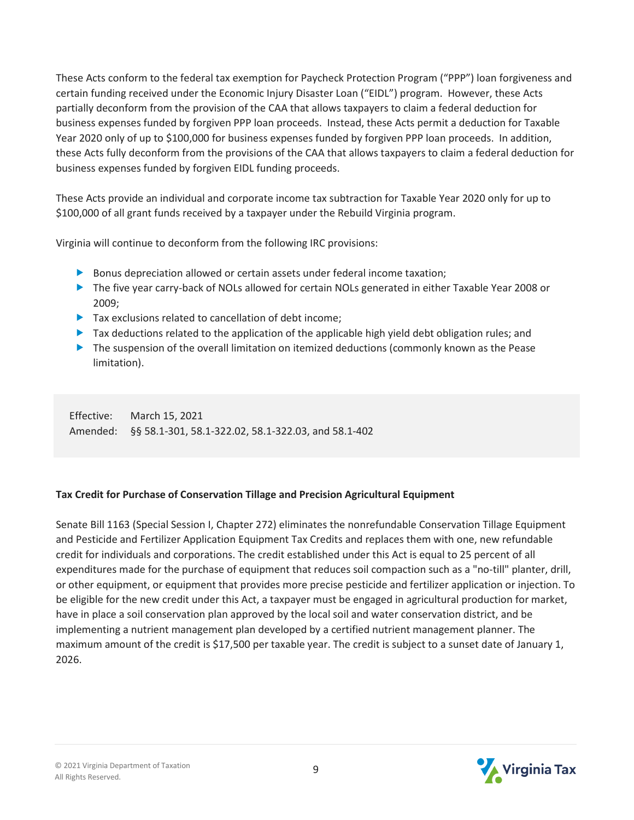These Acts conform to the federal tax exemption for Paycheck Protection Program ("PPP") loan forgiveness and certain funding received under the Economic Injury Disaster Loan ("EIDL") program. However, these Acts partially deconform from the provision of the CAA that allows taxpayers to claim a federal deduction for business expenses funded by forgiven PPP loan proceeds. Instead, these Acts permit a deduction for Taxable Year 2020 only of up to \$100,000 for business expenses funded by forgiven PPP loan proceeds. In addition, these Acts fully deconform from the provisions of the CAA that allows taxpayers to claim a federal deduction for business expenses funded by forgiven EIDL funding proceeds.

These Acts provide an individual and corporate income tax subtraction for Taxable Year 2020 only for up to \$100,000 of all grant funds received by a taxpayer under the Rebuild Virginia program.

Virginia will continue to deconform from the following IRC provisions:

- **Bonus depreciation allowed or certain assets under federal income taxation;**
- ▶ The five year carry-back of NOLs allowed for certain NOLs generated in either Taxable Year 2008 or 2009;
- Tax exclusions related to cancellation of debt income;
- **Tax deductions related to the application of the applicable high yield debt obligation rules; and**
- **The suspension of the overall limitation on itemized deductions (commonly known as the Pease** limitation).

Effective: March 15, 2021 Amended: §§ 58.1-301, 58.1-322.02, 58.1-322.03, and 58.1-402

#### <span id="page-8-0"></span>**Tax Credit for Purchase of Conservation Tillage and Precision Agricultural Equipment**

Senate Bill 1163 (Special Session I, Chapter 272) eliminates the nonrefundable Conservation Tillage Equipment and Pesticide and Fertilizer Application Equipment Tax Credits and replaces them with one, new refundable credit for individuals and corporations. The credit established under this Act is equal to 25 percent of all expenditures made for the purchase of equipment that reduces soil compaction such as a "no-till" planter, drill, or other equipment, or equipment that provides more precise pesticide and fertilizer application or injection. To be eligible for the new credit under this Act, a taxpayer must be engaged in agricultural production for market, have in place a soil conservation plan approved by the local soil and water conservation district, and be implementing a nutrient management plan developed by a certified nutrient management planner. The maximum amount of the credit is \$17,500 per taxable year. The credit is subject to a sunset date of January 1, 2026.

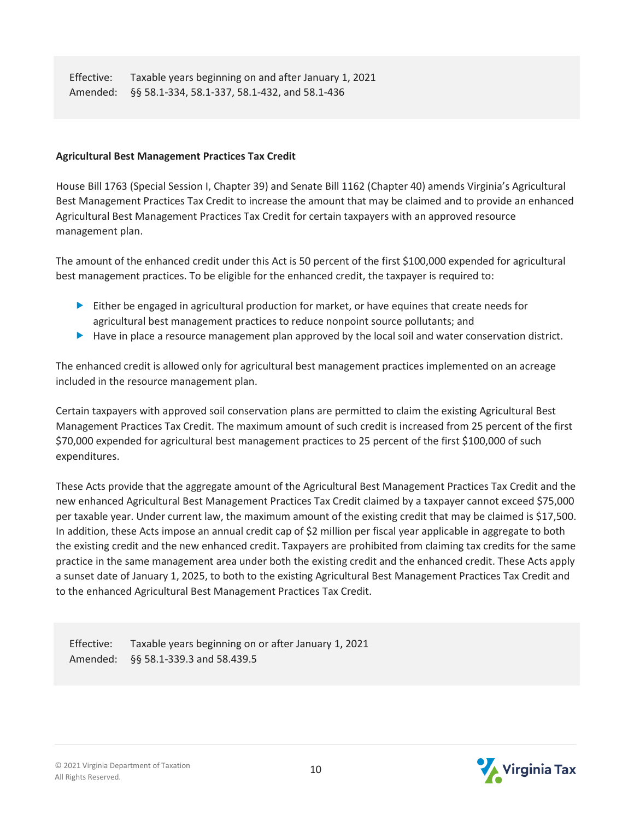Effective: Taxable years beginning on and after January 1, 2021 Amended: §§ 58.1-334, 58.1-337, 58.1-432, and 58.1-436

#### <span id="page-9-0"></span>**Agricultural Best Management Practices Tax Credit**

House Bill 1763 (Special Session I, Chapter 39) and Senate Bill 1162 (Chapter 40) amends Virginia's Agricultural Best Management Practices Tax Credit to increase the amount that may be claimed and to provide an enhanced Agricultural Best Management Practices Tax Credit for certain taxpayers with an approved resource management plan.

The amount of the enhanced credit under this Act is 50 percent of the first \$100,000 expended for agricultural best management practices. To be eligible for the enhanced credit, the taxpayer is required to:

- $\blacktriangleright$  Either be engaged in agricultural production for market, or have equines that create needs for agricultural best management practices to reduce nonpoint source pollutants; and
- Have in place a resource management plan approved by the local soil and water conservation district.

The enhanced credit is allowed only for agricultural best management practices implemented on an acreage included in the resource management plan.

Certain taxpayers with approved soil conservation plans are permitted to claim the existing Agricultural Best Management Practices Tax Credit. The maximum amount of such credit is increased from 25 percent of the first \$70,000 expended for agricultural best management practices to 25 percent of the first \$100,000 of such expenditures.

These Acts provide that the aggregate amount of the Agricultural Best Management Practices Tax Credit and the new enhanced Agricultural Best Management Practices Tax Credit claimed by a taxpayer cannot exceed \$75,000 per taxable year. Under current law, the maximum amount of the existing credit that may be claimed is \$17,500. In addition, these Acts impose an annual credit cap of \$2 million per fiscal year applicable in aggregate to both the existing credit and the new enhanced credit. Taxpayers are prohibited from claiming tax credits for the same practice in the same management area under both the existing credit and the enhanced credit. These Acts apply a sunset date of January 1, 2025, to both to the existing Agricultural Best Management Practices Tax Credit and to the enhanced Agricultural Best Management Practices Tax Credit.

Effective: Taxable years beginning on or after January 1, 2021 Amended: §§ 58.1-339.3 and 58.439.5

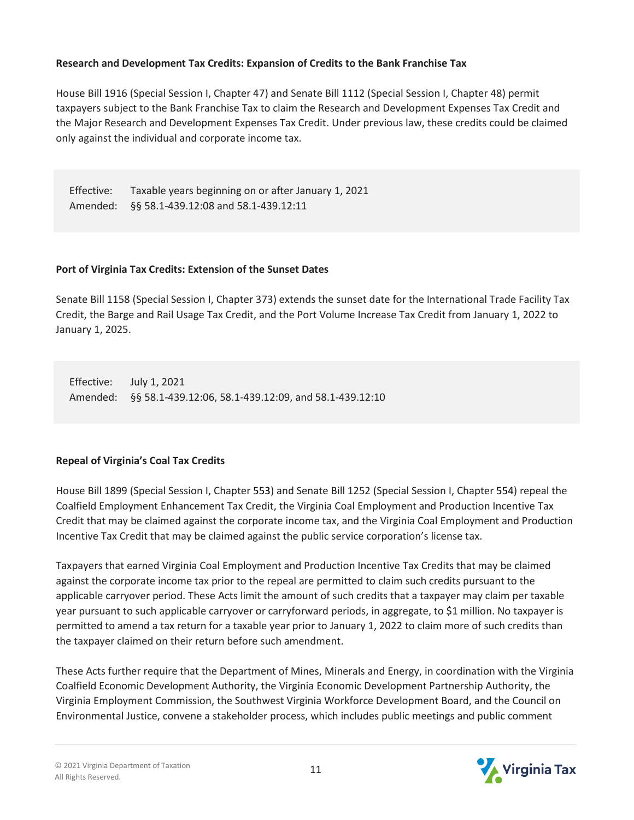#### <span id="page-10-0"></span>**Research and Development Tax Credits: Expansion of Credits to the Bank Franchise Tax**

House Bill 1916 (Special Session I, Chapter 47) and Senate Bill 1112 (Special Session I, Chapter 48) permit taxpayers subject to the Bank Franchise Tax to claim the Research and Development Expenses Tax Credit and the Major Research and Development Expenses Tax Credit. Under previous law, these credits could be claimed only against the individual and corporate income tax.

Effective: Taxable years beginning on or after January 1, 2021 Amended: §§ 58.1-439.12:08 and 58.1-439.12:11

#### <span id="page-10-1"></span>**Port of Virginia Tax Credits: Extension of the Sunset Dates**

Senate Bill 1158 (Special Session I, Chapter 373) extends the sunset date for the International Trade Facility Tax Credit, the Barge and Rail Usage Tax Credit, and the Port Volume Increase Tax Credit from January 1, 2022 to January 1, 2025.

Effective: July 1, 2021 Amended: §§ 58.1-439.12:06, 58.1-439.12:09, and 58.1-439.12:10

#### <span id="page-10-2"></span>**Repeal of Virginia's Coal Tax Credits**

House Bill 1899 (Special Session I, Chapter 553) and Senate Bill 1252 (Special Session I, Chapter 554) repeal the Coalfield Employment Enhancement Tax Credit, the Virginia Coal Employment and Production Incentive Tax Credit that may be claimed against the corporate income tax, and the Virginia Coal Employment and Production Incentive Tax Credit that may be claimed against the public service corporation's license tax.

Taxpayers that earned Virginia Coal Employment and Production Incentive Tax Credits that may be claimed against the corporate income tax prior to the repeal are permitted to claim such credits pursuant to the applicable carryover period. These Acts limit the amount of such credits that a taxpayer may claim per taxable year pursuant to such applicable carryover or carryforward periods, in aggregate, to \$1 million. No taxpayer is permitted to amend a tax return for a taxable year prior to January 1, 2022 to claim more of such credits than the taxpayer claimed on their return before such amendment.

These Acts further require that the Department of Mines, Minerals and Energy, in coordination with the Virginia Coalfield Economic Development Authority, the Virginia Economic Development Partnership Authority, the Virginia Employment Commission, the Southwest Virginia Workforce Development Board, and the Council on Environmental Justice, convene a stakeholder process, which includes public meetings and public comment

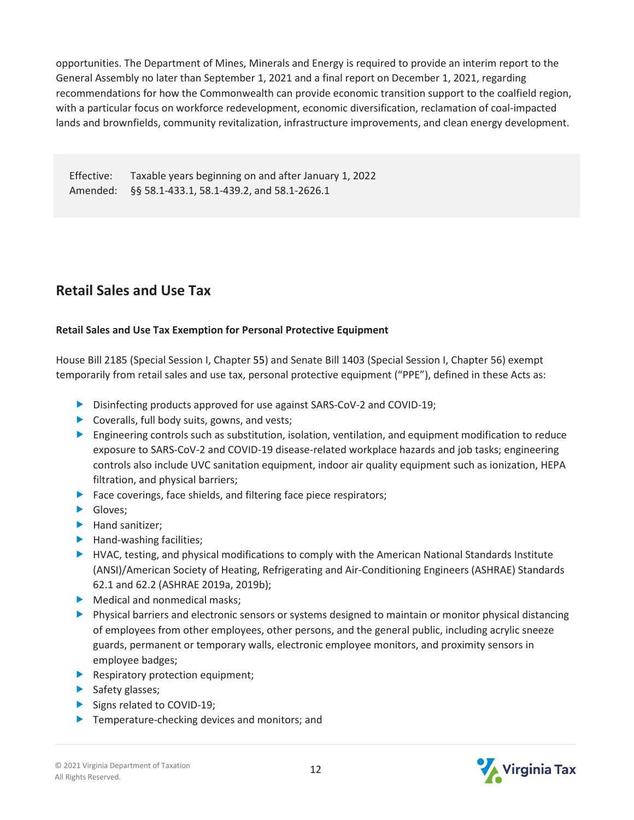opportunities. The Department of Mines, Minerals and Energy is required to provide an interim report to the General Assembly no later than September 1, 2021 and a final report on December 1, 2021, regarding recommendations for how the Commonwealth can provide economic transition support to the coalfield region, with a particular focus on workforce redevelopment, economic diversification, reclamation of coal-impacted lands and brownfields, community revitalization, infrastructure improvements, and clean energy development.

Effective: Taxable years beginning on and after January 1, 2022 Amended: §§ 58.1-433.1, 58.1-439.2, and 58.1-2626.1

### <span id="page-11-0"></span>**Retail Sales and Use Tax**

#### <span id="page-11-1"></span>**Retail Sales and Use Tax Exemption for Personal Protective Equipment**

House Bill 2185 (Special Session I, Chapter 55) and Senate Bill 1403 (Special Session I, Chapter 56) exempt temporarily from retail sales and use tax, personal protective equipment ("PPE"), defined in these Acts as:

- Disinfecting products approved for use against SARS-CoV-2 and COVID-19;
- ▶ Coveralls, full body suits, gowns, and vests;
- **Engineering controls such as substitution, isolation, ventilation, and equipment modification to reduce** exposure to SARS-CoV-2 and COVID-19 disease-related workplace hazards and job tasks; engineering controls also include UVC sanitation equipment, indoor air quality equipment such as ionization, HEPA filtration, and physical barriers;
- Face coverings, face shields, and filtering face piece respirators;
- Gloves;
- $\blacktriangleright$  Hand sanitizer:
- $\blacktriangleright$  Hand-washing facilities;
- **EX** HVAC, testing, and physical modifications to comply with the American National Standards Institute (ANSI)/American Society of Heating, Refrigerating and Air-Conditioning Engineers (ASHRAE) Standards 62.1 and 62.2 (ASHRAE 2019a, 2019b);
- Medical and nonmedical masks;
- **Physical barriers and electronic sensors or systems designed to maintain or monitor physical distancing** of employees from other employees, other persons, and the general public, including acrylic sneeze guards, permanent or temporary walls, electronic employee monitors, and proximity sensors in employee badges;
- $\blacktriangleright$  Respiratory protection equipment;
- $\blacktriangleright$  Safety glasses;
- Signs related to COVID-19;
- **Temperature-checking devices and monitors; and**

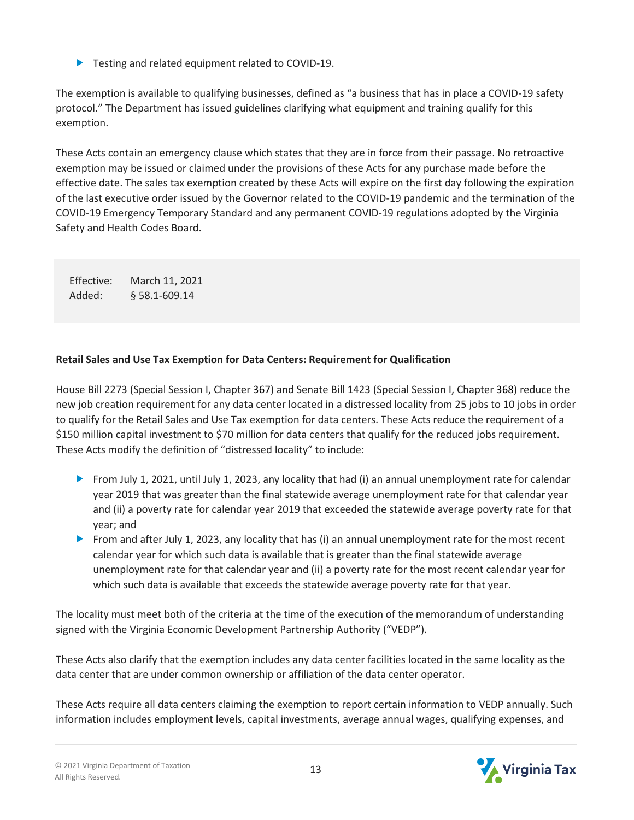Testing and related equipment related to COVID-19.

The exemption is available to qualifying businesses, defined as "a business that has in place a COVID-19 safety protocol." The Department has issued guidelines clarifying what equipment and training qualify for this exemption.

These Acts contain an emergency clause which states that they are in force from their passage. No retroactive exemption may be issued or claimed under the provisions of these Acts for any purchase made before the effective date. The sales tax exemption created by these Acts will expire on the first day following the expiration of the last executive order issued by the Governor related to the COVID-19 pandemic and the termination of the COVID-19 Emergency Temporary Standard and any permanent COVID-19 regulations adopted by the Virginia Safety and Health Codes Board.

Effective: March 11, 2021 Added: § 58.1-609.14

#### <span id="page-12-0"></span>**Retail Sales and Use Tax Exemption for Data Centers: Requirement for Qualification**

House Bill 2273 (Special Session I, Chapter 367) and Senate Bill 1423 (Special Session I, Chapter 368) reduce the new job creation requirement for any data center located in a distressed locality from 25 jobs to 10 jobs in order to qualify for the Retail Sales and Use Tax exemption for data centers. These Acts reduce the requirement of a \$150 million capital investment to \$70 million for data centers that qualify for the reduced jobs requirement. These Acts modify the definition of "distressed locality" to include:

- From July 1, 2021, until July 1, 2023, any locality that had (i) an annual unemployment rate for calendar year 2019 that was greater than the final statewide average unemployment rate for that calendar year and (ii) a poverty rate for calendar year 2019 that exceeded the statewide average poverty rate for that year; and
- From and after July 1, 2023, any locality that has (i) an annual unemployment rate for the most recent calendar year for which such data is available that is greater than the final statewide average unemployment rate for that calendar year and (ii) a poverty rate for the most recent calendar year for which such data is available that exceeds the statewide average poverty rate for that year.

The locality must meet both of the criteria at the time of the execution of the memorandum of understanding signed with the Virginia Economic Development Partnership Authority ("VEDP").

These Acts also clarify that the exemption includes any data center facilities located in the same locality as the data center that are under common ownership or affiliation of the data center operator.

These Acts require all data centers claiming the exemption to report certain information to VEDP annually. Such information includes employment levels, capital investments, average annual wages, qualifying expenses, and

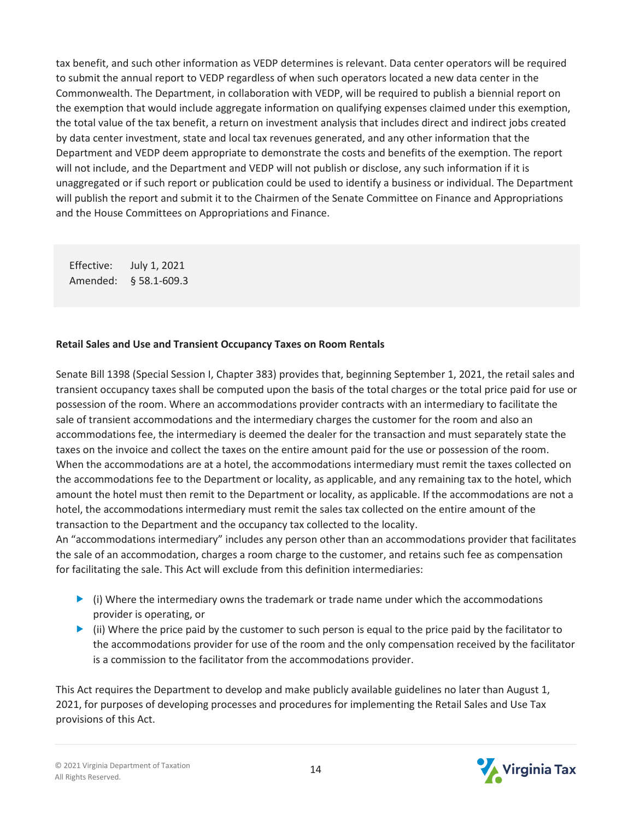tax benefit, and such other information as VEDP determines is relevant. Data center operators will be required to submit the annual report to VEDP regardless of when such operators located a new data center in the Commonwealth. The Department, in collaboration with VEDP, will be required to publish a biennial report on the exemption that would include aggregate information on qualifying expenses claimed under this exemption, the total value of the tax benefit, a return on investment analysis that includes direct and indirect jobs created by data center investment, state and local tax revenues generated, and any other information that the Department and VEDP deem appropriate to demonstrate the costs and benefits of the exemption. The report will not include, and the Department and VEDP will not publish or disclose, any such information if it is unaggregated or if such report or publication could be used to identify a business or individual. The Department will publish the report and submit it to the Chairmen of the Senate Committee on Finance and Appropriations and the House Committees on Appropriations and Finance.

Effective: July 1, 2021 Amended: § 58.1-609.3

#### <span id="page-13-0"></span>**Retail Sales and Use and Transient Occupancy Taxes on Room Rentals**

Senate Bill 1398 (Special Session I, Chapter 383) provides that, beginning September 1, 2021, the retail sales and transient occupancy taxes shall be computed upon the basis of the total charges or the total price paid for use or possession of the room. Where an accommodations provider contracts with an intermediary to facilitate the sale of transient accommodations and the intermediary charges the customer for the room and also an accommodations fee, the intermediary is deemed the dealer for the transaction and must separately state the taxes on the invoice and collect the taxes on the entire amount paid for the use or possession of the room. When the accommodations are at a hotel, the accommodations intermediary must remit the taxes collected on the accommodations fee to the Department or locality, as applicable, and any remaining tax to the hotel, which amount the hotel must then remit to the Department or locality, as applicable. If the accommodations are not a hotel, the accommodations intermediary must remit the sales tax collected on the entire amount of the transaction to the Department and the occupancy tax collected to the locality.

An "accommodations intermediary" includes any person other than an accommodations provider that facilitates the sale of an accommodation, charges a room charge to the customer, and retains such fee as compensation for facilitating the sale. This Act will exclude from this definition intermediaries:

- $\triangleright$  (i) Where the intermediary owns the trademark or trade name under which the accommodations provider is operating, or
- $\triangleright$  (ii) Where the price paid by the customer to such person is equal to the price paid by the facilitator to the accommodations provider for use of the room and the only compensation received by the facilitator is a commission to the facilitator from the accommodations provider.

This Act requires the Department to develop and make publicly available guidelines no later than August 1, 2021, for purposes of developing processes and procedures for implementing the Retail Sales and Use Tax provisions of this Act.

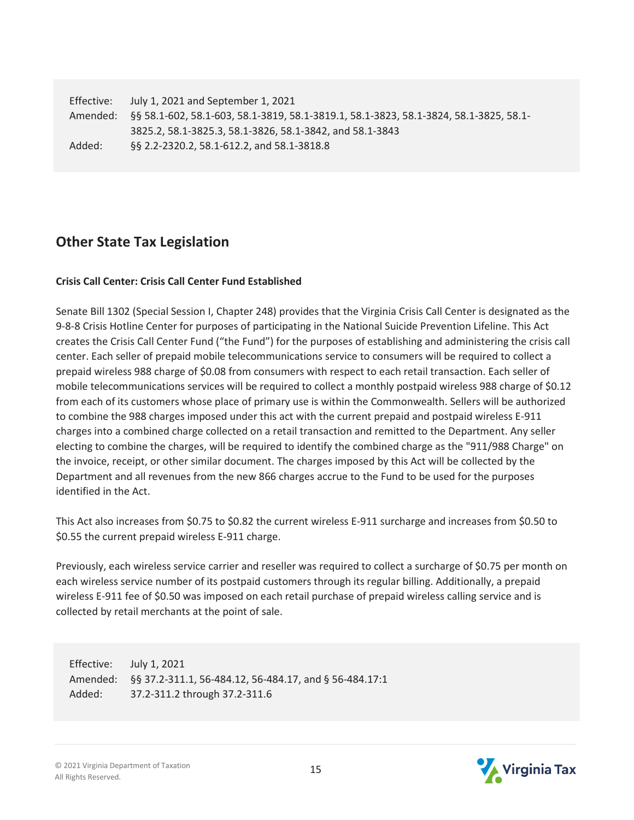| Effective: | July 1, 2021 and September 1, 2021                                                             |
|------------|------------------------------------------------------------------------------------------------|
|            | Amended: §§ 58.1-602, 58.1-603, 58.1-3819, 58.1-3819.1, 58.1-3823, 58.1-3824, 58.1-3825, 58.1- |
|            | 3825.2, 58.1-3825.3, 58.1-3826, 58.1-3842, and 58.1-3843                                       |
| Added:     | §§ 2.2-2320.2, 58.1-612.2, and 58.1-3818.8                                                     |

### <span id="page-14-0"></span>**Other State Tax Legislation**

#### <span id="page-14-1"></span>**Crisis Call Center: Crisis Call Center Fund Established**

Senate Bill 1302 (Special Session I, Chapter 248) provides that the Virginia Crisis Call Center is designated as the 9-8-8 Crisis Hotline Center for purposes of participating in the National Suicide Prevention Lifeline. This Act creates the Crisis Call Center Fund ("the Fund") for the purposes of establishing and administering the crisis call center. Each seller of prepaid mobile telecommunications service to consumers will be required to collect a prepaid wireless 988 charge of \$0.08 from consumers with respect to each retail transaction. Each seller of mobile telecommunications services will be required to collect a monthly postpaid wireless 988 charge of \$0.12 from each of its customers whose place of primary use is within the Commonwealth. Sellers will be authorized to combine the 988 charges imposed under this act with the current prepaid and postpaid wireless E-911 charges into a combined charge collected on a retail transaction and remitted to the Department. Any seller electing to combine the charges, will be required to identify the combined charge as the "911/988 Charge" on the invoice, receipt, or other similar document. The charges imposed by this Act will be collected by the Department and all revenues from the new 866 charges accrue to the Fund to be used for the purposes identified in the Act.

This Act also increases from \$0.75 to \$0.82 the current wireless E-911 surcharge and increases from \$0.50 to \$0.55 the current prepaid wireless E-911 charge.

Previously, each wireless service carrier and reseller was required to collect a surcharge of \$0.75 per month on each wireless service number of its postpaid customers through its regular billing. Additionally, a prepaid wireless E-911 fee of \$0.50 was imposed on each retail purchase of prepaid wireless calling service and is collected by retail merchants at the point of sale.

Effective: July 1, 2021 Amended: §§ 37.2-311.1, 56-484.12, 56-484.17, and § 56-484.17:1 Added: 37.2-311.2 through 37.2-311.6

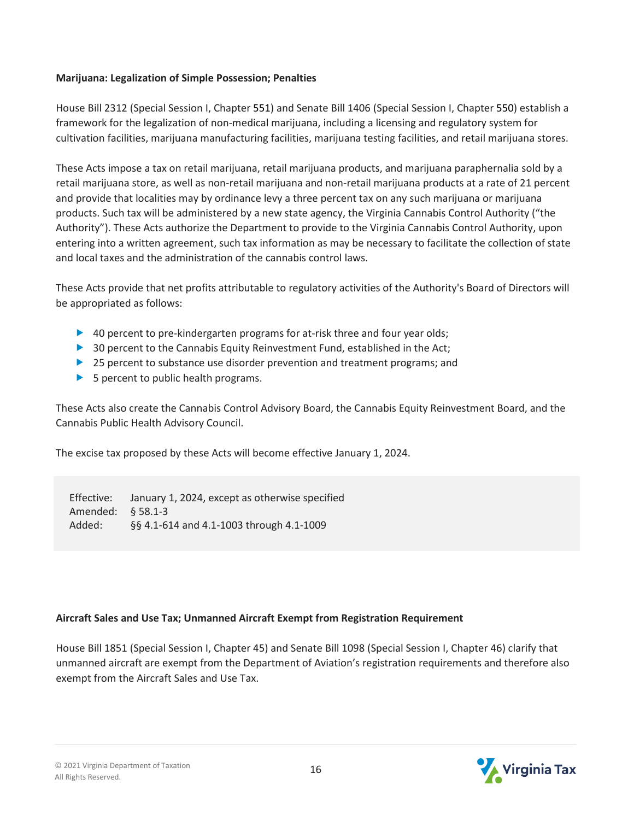#### <span id="page-15-0"></span>**Marijuana: Legalization of Simple Possession; Penalties**

House Bill 2312 (Special Session I, Chapter 551) and Senate Bill 1406 (Special Session I, Chapter 550) establish a framework for the legalization of non-medical marijuana, including a licensing and regulatory system for cultivation facilities, marijuana manufacturing facilities, marijuana testing facilities, and retail marijuana stores.

These Acts impose a tax on retail marijuana, retail marijuana products, and marijuana paraphernalia sold by a retail marijuana store, as well as non-retail marijuana and non-retail marijuana products at a rate of 21 percent and provide that localities may by ordinance levy a three percent tax on any such marijuana or marijuana products. Such tax will be administered by a new state agency, the Virginia Cannabis Control Authority ("the Authority"). These Acts authorize the Department to provide to the Virginia Cannabis Control Authority, upon entering into a written agreement, such tax information as may be necessary to facilitate the collection of state and local taxes and the administration of the cannabis control laws.

These Acts provide that net profits attributable to regulatory activities of the Authority's Board of Directors will be appropriated as follows:

- ▶ 40 percent to pre-kindergarten programs for at-risk three and four year olds;
- ▶ 30 percent to the Cannabis Equity Reinvestment Fund, established in the Act;
- ▶ 25 percent to substance use disorder prevention and treatment programs; and
- $\blacktriangleright$  5 percent to public health programs.

These Acts also create the Cannabis Control Advisory Board, the Cannabis Equity Reinvestment Board, and the Cannabis Public Health Advisory Council.

The excise tax proposed by these Acts will become effective January 1, 2024.

Effective: January 1, 2024, except as otherwise specified Amended: § 58.1-3 Added: §§ 4.1-614 and 4.1-1003 through 4.1-1009

#### <span id="page-15-1"></span>**Aircraft Sales and Use Tax; Unmanned Aircraft Exempt from Registration Requirement**

House Bill 1851 (Special Session I, Chapter 45) and Senate Bill 1098 (Special Session I, Chapter 46) clarify that unmanned aircraft are exempt from the Department of Aviation's registration requirements and therefore also exempt from the Aircraft Sales and Use Tax.

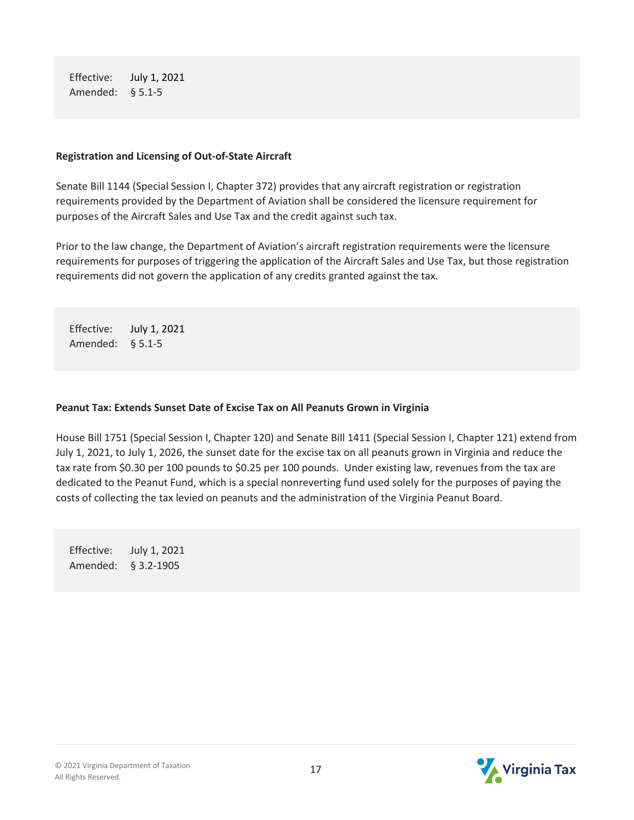Effective: July 1, 2021 Amended: § 5.1-5

#### <span id="page-16-0"></span>**Registration and Licensing of Out-of-State Aircraft**

Senate Bill 1144 (Special Session I, Chapter 372) provides that any aircraft registration or registration requirements provided by the Department of Aviation shall be considered the licensure requirement for purposes of the Aircraft Sales and Use Tax and the credit against such tax.

Prior to the law change, the Department of Aviation's aircraft registration requirements were the licensure requirements for purposes of triggering the application of the Aircraft Sales and Use Tax, but those registration requirements did not govern the application of any credits granted against the tax.

Effective: July 1, 2021 Amended: § 5.1-5

#### <span id="page-16-1"></span>**Peanut Tax: Extends Sunset Date of Excise Tax on All Peanuts Grown in Virginia**

House Bill 1751 (Special Session I, Chapter 120) and Senate Bill 1411 (Special Session I, Chapter 121) extend from July 1, 2021, to July 1, 2026, the sunset date for the excise tax on all peanuts grown in Virginia and reduce the tax rate from \$0.30 per 100 pounds to \$0.25 per 100 pounds. Under existing law, revenues from the tax are dedicated to the Peanut Fund, which is a special nonreverting fund used solely for the purposes of paying the costs of collecting the tax levied on peanuts and the administration of the Virginia Peanut Board.

Effective: July 1, 2021 Amended: § 3.2-1905

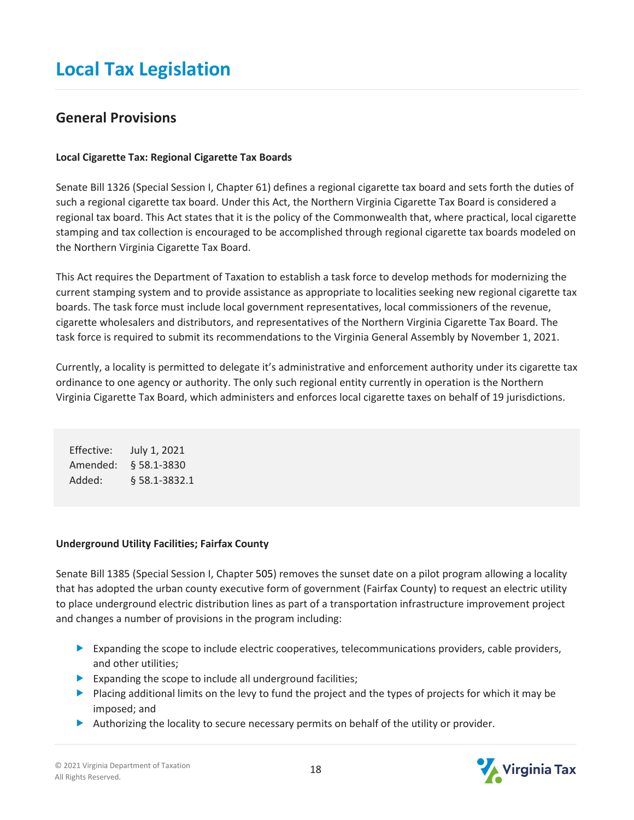### <span id="page-17-1"></span><span id="page-17-0"></span>**General Provisions**

#### <span id="page-17-2"></span>**Local Cigarette Tax: Regional Cigarette Tax Boards**

Senate Bill 1326 (Special Session I, Chapter 61) defines a regional cigarette tax board and sets forth the duties of such a regional cigarette tax board. Under this Act, the Northern Virginia Cigarette Tax Board is considered a regional tax board. This Act states that it is the policy of the Commonwealth that, where practical, local cigarette stamping and tax collection is encouraged to be accomplished through regional cigarette tax boards modeled on the Northern Virginia Cigarette Tax Board.

This Act requires the Department of Taxation to establish a task force to develop methods for modernizing the current stamping system and to provide assistance as appropriate to localities seeking new regional cigarette tax boards. The task force must include local government representatives, local commissioners of the revenue, cigarette wholesalers and distributors, and representatives of the Northern Virginia Cigarette Tax Board. The task force is required to submit its recommendations to the Virginia General Assembly by November 1, 2021.

Currently, a locality is permitted to delegate it's administrative and enforcement authority under its cigarette tax ordinance to one agency or authority. The only such regional entity currently in operation is the Northern Virginia Cigarette Tax Board, which administers and enforces local cigarette taxes on behalf of 19 jurisdictions.

Effective: July 1, 2021 Amended: § 58.1-3830 Added: § 58.1-3832.1

#### <span id="page-17-3"></span>**Underground Utility Facilities; Fairfax County**

Senate Bill 1385 (Special Session I, Chapter 505) removes the sunset date on a pilot program allowing a locality that has adopted the urban county executive form of government (Fairfax County) to request an electric utility to place underground electric distribution lines as part of a transportation infrastructure improvement project and changes a number of provisions in the program including:

- $\blacktriangleright$  Expanding the scope to include electric cooperatives, telecommunications providers, cable providers, and other utilities;
- Expanding the scope to include all underground facilities;
- **Placing additional limits on the levy to fund the project and the types of projects for which it may be** imposed; and
- Authorizing the locality to secure necessary permits on behalf of the utility or provider.

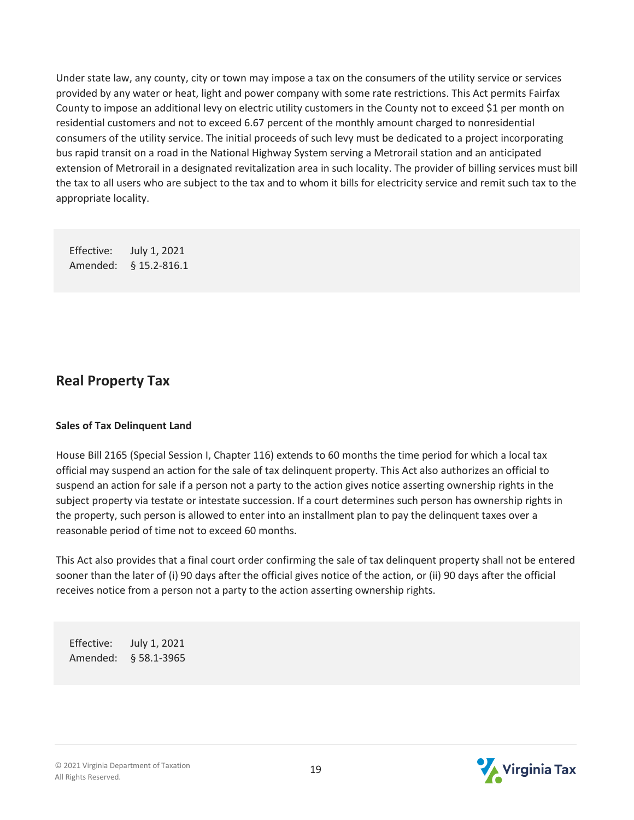Under state law, any county, city or town may impose a tax on the consumers of the utility service or services provided by any water or heat, light and power company with some rate restrictions. This Act permits Fairfax County to impose an additional levy on electric utility customers in the County not to exceed \$1 per month on residential customers and not to exceed 6.67 percent of the monthly amount charged to nonresidential consumers of the utility service. The initial proceeds of such levy must be dedicated to a project incorporating bus rapid transit on a road in the National Highway System serving a Metrorail station and an anticipated extension of Metrorail in a designated revitalization area in such locality. The provider of billing services must bill the tax to all users who are subject to the tax and to whom it bills for electricity service and remit such tax to the appropriate locality.

Effective: July 1, 2021 Amended: § 15.2-816.1

### <span id="page-18-0"></span>**Real Property Tax**

#### <span id="page-18-1"></span>**Sales of Tax Delinquent Land**

House Bill 2165 (Special Session I, Chapter 116) extends to 60 months the time period for which a local tax official may suspend an action for the sale of tax delinquent property. This Act also authorizes an official to suspend an action for sale if a person not a party to the action gives notice asserting ownership rights in the subject property via testate or intestate succession. If a court determines such person has ownership rights in the property, such person is allowed to enter into an installment plan to pay the delinquent taxes over a reasonable period of time not to exceed 60 months.

This Act also provides that a final court order confirming the sale of tax delinquent property shall not be entered sooner than the later of (i) 90 days after the official gives notice of the action, or (ii) 90 days after the official receives notice from a person not a party to the action asserting ownership rights.

Effective: July 1, 2021 Amended: § 58.1-3965

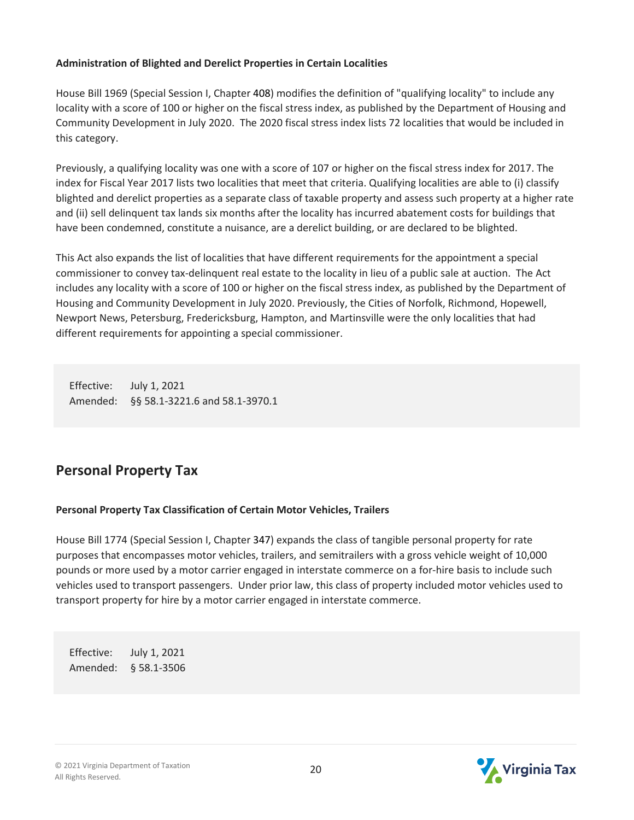#### <span id="page-19-0"></span>**Administration of Blighted and Derelict Properties in Certain Localities**

House Bill 1969 (Special Session I, Chapter 408) modifies the definition of "qualifying locality" to include any locality with a score of 100 or higher on the fiscal stress index, as published by the Department of Housing and Community Development in July 2020. The 2020 fiscal stress index lists 72 localities that would be included in this category.

Previously, a qualifying locality was one with a score of 107 or higher on the fiscal stress index for 2017. The index for Fiscal Year 2017 lists two localities that meet that criteria. Qualifying localities are able to (i) classify blighted and derelict properties as a separate class of taxable property and assess such property at a higher rate and (ii) sell delinquent tax lands six months after the locality has incurred abatement costs for buildings that have been condemned, constitute a nuisance, are a derelict building, or are declared to be blighted.

This Act also expands the list of localities that have different requirements for the appointment a special commissioner to convey tax-delinquent real estate to the locality in lieu of a public sale at auction. The Act includes any locality with a score of 100 or higher on the fiscal stress index, as published by the Department of Housing and Community Development in July 2020. Previously, the Cities of Norfolk, Richmond, Hopewell, Newport News, Petersburg, Fredericksburg, Hampton, and Martinsville were the only localities that had different requirements for appointing a special commissioner.

Effective: July 1, 2021 Amended: §§ 58.1-3221.6 and 58.1-3970.1

### <span id="page-19-1"></span>**Personal Property Tax**

#### <span id="page-19-2"></span>**Personal Property Tax Classification of Certain Motor Vehicles, Trailers**

House Bill 1774 (Special Session I, Chapter 347) expands the class of tangible personal property for rate purposes that encompasses motor vehicles, trailers, and semitrailers with a gross vehicle weight of 10,000 pounds or more used by a motor carrier engaged in interstate commerce on a for-hire basis to include such vehicles used to transport passengers. Under prior law, this class of property included motor vehicles used to transport property for hire by a motor carrier engaged in interstate commerce.

Effective: July 1, 2021 Amended: § 58.1-3506

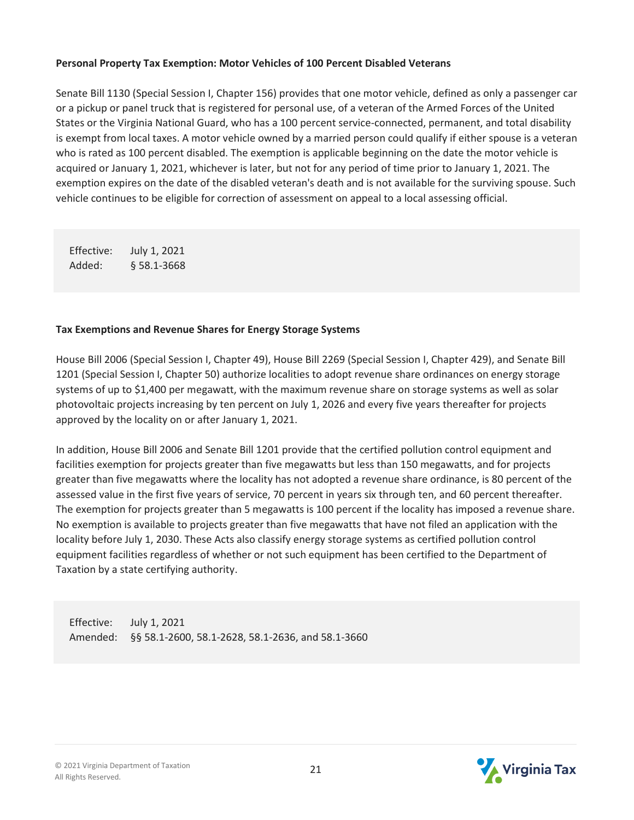#### <span id="page-20-0"></span>**Personal Property Tax Exemption: Motor Vehicles of 100 Percent Disabled Veterans**

Senate Bill 1130 (Special Session I, Chapter 156) provides that one motor vehicle, defined as only a passenger car or a pickup or panel truck that is registered for personal use, of a veteran of the Armed Forces of the United States or the Virginia National Guard, who has a 100 percent service-connected, permanent, and total disability is exempt from local taxes. A motor vehicle owned by a married person could qualify if either spouse is a veteran who is rated as 100 percent disabled. The exemption is applicable beginning on the date the motor vehicle is acquired or January 1, 2021, whichever is later, but not for any period of time prior to January 1, 2021. The exemption expires on the date of the disabled veteran's death and is not available for the surviving spouse. Such vehicle continues to be eligible for correction of assessment on appeal to a local assessing official.

Effective: July 1, 2021 Added: § 58.1-3668

#### <span id="page-20-1"></span>**Tax Exemptions and Revenue Shares for Energy Storage Systems**

House Bill 2006 (Special Session I, Chapter 49), House Bill 2269 (Special Session I, Chapter 429), and Senate Bill 1201 (Special Session I, Chapter 50) authorize localities to adopt revenue share ordinances on energy storage systems of up to \$1,400 per megawatt, with the maximum revenue share on storage systems as well as solar photovoltaic projects increasing by ten percent on July 1, 2026 and every five years thereafter for projects approved by the locality on or after January 1, 2021.

In addition, House Bill 2006 and Senate Bill 1201 provide that the certified pollution control equipment and facilities exemption for projects greater than five megawatts but less than 150 megawatts, and for projects greater than five megawatts where the locality has not adopted a revenue share ordinance, is 80 percent of the assessed value in the first five years of service, 70 percent in years six through ten, and 60 percent thereafter. The exemption for projects greater than 5 megawatts is 100 percent if the locality has imposed a revenue share. No exemption is available to projects greater than five megawatts that have not filed an application with the locality before July 1, 2030. These Acts also classify energy storage systems as certified pollution control equipment facilities regardless of whether or not such equipment has been certified to the Department of Taxation by a state certifying authority.

Effective: July 1, 2021 Amended: §§ 58.1-2600, 58.1-2628, 58.1-2636, and 58.1-3660

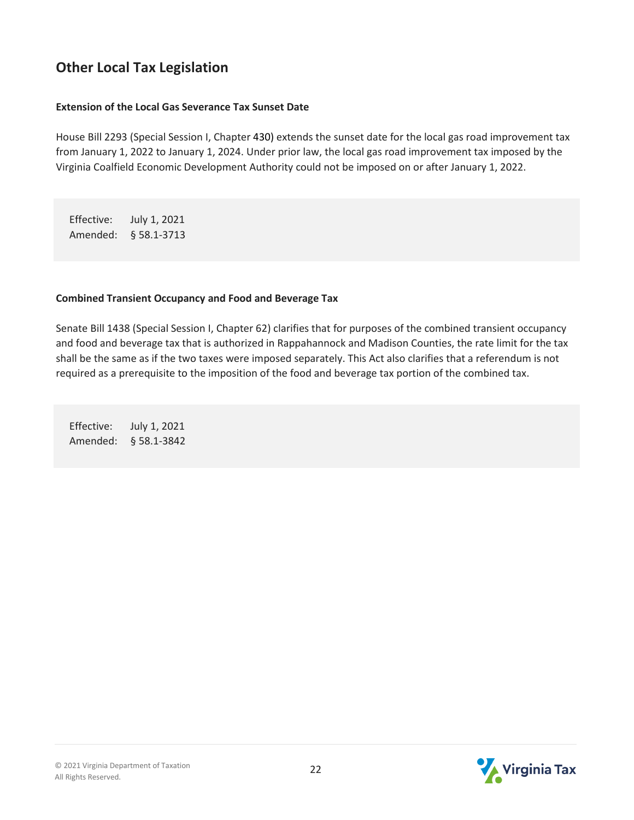### <span id="page-21-0"></span>**Other Local Tax Legislation**

#### <span id="page-21-1"></span>**Extension of the Local Gas Severance Tax Sunset Date**

House Bill 2293 (Special Session I, Chapter 430) extends the sunset date for the local gas road improvement tax from January 1, 2022 to January 1, 2024. Under prior law, the local gas road improvement tax imposed by the Virginia Coalfield Economic Development Authority could not be imposed on or after January 1, 2022.

Effective: July 1, 2021 Amended: § 58.1-3713

#### <span id="page-21-2"></span>**Combined Transient Occupancy and Food and Beverage Tax**

Senate Bill 1438 (Special Session I, Chapter 62) clarifies that for purposes of the combined transient occupancy and food and beverage tax that is authorized in Rappahannock and Madison Counties, the rate limit for the tax shall be the same as if the two taxes were imposed separately. This Act also clarifies that a referendum is not required as a prerequisite to the imposition of the food and beverage tax portion of the combined tax.

Effective: July 1, 2021 Amended: § 58.1-3842

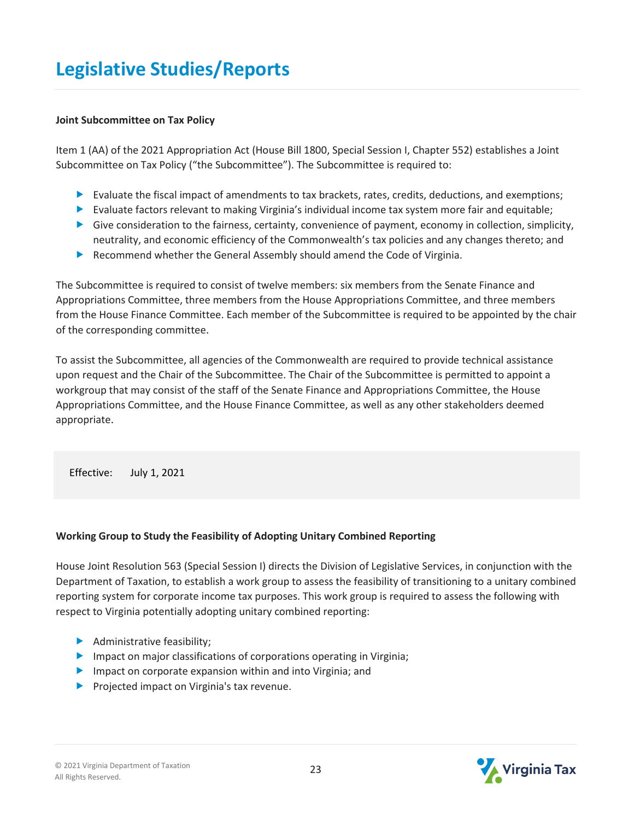## <span id="page-22-0"></span>**Legislative Studies/Reports**

#### <span id="page-22-1"></span>**Joint Subcommittee on Tax Policy**

Item 1 (AA) of the 2021 Appropriation Act (House Bill 1800, Special Session I, Chapter 552) establishes a Joint Subcommittee on Tax Policy ("the Subcommittee"). The Subcommittee is required to:

- Evaluate the fiscal impact of amendments to tax brackets, rates, credits, deductions, and exemptions;
- Evaluate factors relevant to making Virginia's individual income tax system more fair and equitable;
- Give consideration to the fairness, certainty, convenience of payment, economy in collection, simplicity, neutrality, and economic efficiency of the Commonwealth's tax policies and any changes thereto; and
- Recommend whether the General Assembly should amend the Code of Virginia.

The Subcommittee is required to consist of twelve members: six members from the Senate Finance and Appropriations Committee, three members from the House Appropriations Committee, and three members from the House Finance Committee. Each member of the Subcommittee is required to be appointed by the chair of the corresponding committee.

To assist the Subcommittee, all agencies of the Commonwealth are required to provide technical assistance upon request and the Chair of the Subcommittee. The Chair of the Subcommittee is permitted to appoint a workgroup that may consist of the staff of the Senate Finance and Appropriations Committee, the House Appropriations Committee, and the House Finance Committee, as well as any other stakeholders deemed appropriate.

Effective: July 1, 2021

#### <span id="page-22-2"></span>**Working Group to Study the Feasibility of Adopting Unitary Combined Reporting**

House Joint Resolution 563 (Special Session I) directs the Division of Legislative Services, in conjunction with the Department of Taxation, to establish a work group to assess the feasibility of transitioning to a unitary combined reporting system for corporate income tax purposes. This work group is required to assess the following with respect to Virginia potentially adopting unitary combined reporting:

- $\blacktriangleright$  Administrative feasibility;
- **Impact on major classifications of corporations operating in Virginia;**
- **IMPACT ON COLLEG** PROPORATE EXPANSION WITHIN And into Virginia; and
- Projected impact on Virginia's tax revenue.

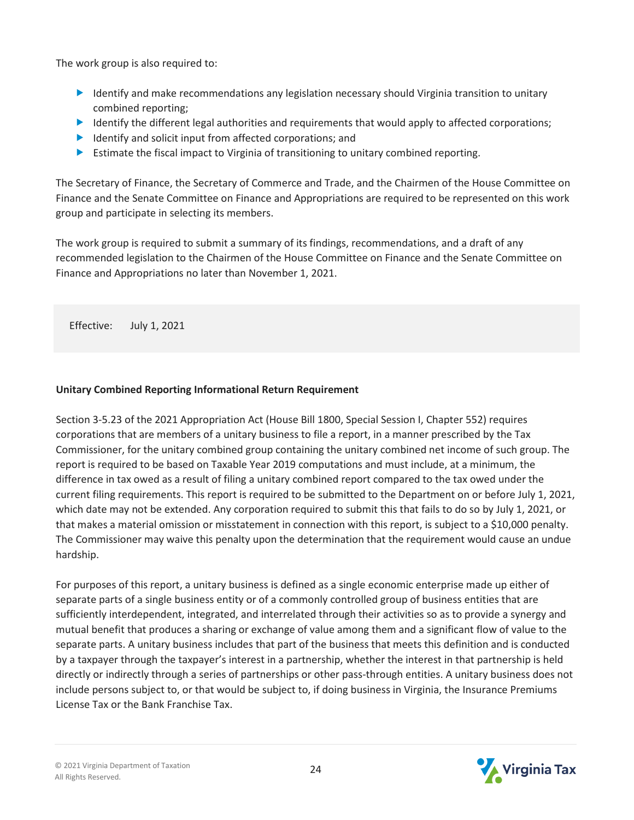The work group is also required to:

- **IDENTIFY And Make recommendations any legislation necessary should Virginia transition to unitary** combined reporting;
- Identify the different legal authorities and requirements that would apply to affected corporations;
- $\blacktriangleright$  Identify and solicit input from affected corporations; and
- Estimate the fiscal impact to Virginia of transitioning to unitary combined reporting.

The Secretary of Finance, the Secretary of Commerce and Trade, and the Chairmen of the House Committee on Finance and the Senate Committee on Finance and Appropriations are required to be represented on this work group and participate in selecting its members.

The work group is required to submit a summary of its findings, recommendations, and a draft of any recommended legislation to the Chairmen of the House Committee on Finance and the Senate Committee on Finance and Appropriations no later than November 1, 2021.

Effective: July 1, 2021

#### <span id="page-23-0"></span>**Unitary Combined Reporting Informational Return Requirement**

Section 3-5.23 of the 2021 Appropriation Act (House Bill 1800, Special Session I, Chapter 552) requires corporations that are members of a unitary business to file a report, in a manner prescribed by the Tax Commissioner, for the unitary combined group containing the unitary combined net income of such group. The report is required to be based on Taxable Year 2019 computations and must include, at a minimum, the difference in tax owed as a result of filing a unitary combined report compared to the tax owed under the current filing requirements. This report is required to be submitted to the Department on or before July 1, 2021, which date may not be extended. Any corporation required to submit this that fails to do so by July 1, 2021, or that makes a material omission or misstatement in connection with this report, is subject to a \$10,000 penalty. The Commissioner may waive this penalty upon the determination that the requirement would cause an undue hardship.

For purposes of this report, a unitary business is defined as a single economic enterprise made up either of separate parts of a single business entity or of a commonly controlled group of business entities that are sufficiently interdependent, integrated, and interrelated through their activities so as to provide a synergy and mutual benefit that produces a sharing or exchange of value among them and a significant flow of value to the separate parts. A unitary business includes that part of the business that meets this definition and is conducted by a taxpayer through the taxpayer's interest in a partnership, whether the interest in that partnership is held directly or indirectly through a series of partnerships or other pass-through entities. A unitary business does not include persons subject to, or that would be subject to, if doing business in Virginia, the Insurance Premiums License Tax or the Bank Franchise Tax.

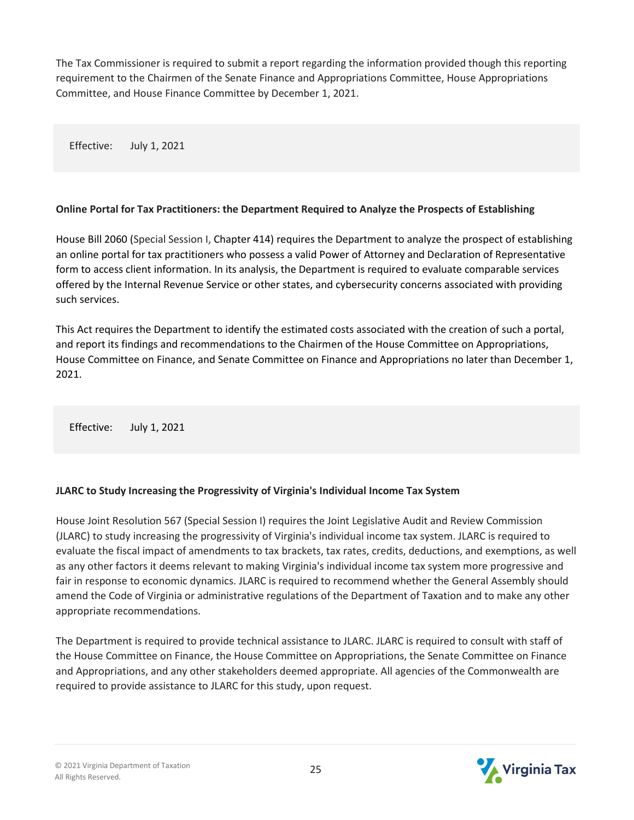The Tax Commissioner is required to submit a report regarding the information provided though this reporting requirement to the Chairmen of the Senate Finance and Appropriations Committee, House Appropriations Committee, and House Finance Committee by December 1, 2021.

Effective: July 1, 2021

#### <span id="page-24-0"></span>**Online Portal for Tax Practitioners: the Department Required to Analyze the Prospects of Establishing**

House Bill 2060 (Special Session I, Chapter 414) requires the Department to analyze the prospect of establishing an online portal for tax practitioners who possess a valid Power of Attorney and Declaration of Representative form to access client information. In its analysis, the Department is required to evaluate comparable services offered by the Internal Revenue Service or other states, and cybersecurity concerns associated with providing such services.

This Act requires the Department to identify the estimated costs associated with the creation of such a portal, and report its findings and recommendations to the Chairmen of the House Committee on Appropriations, House Committee on Finance, and Senate Committee on Finance and Appropriations no later than December 1, 2021.

Effective: July 1, 2021

#### <span id="page-24-1"></span>**JLARC to Study Increasing the Progressivity of Virginia's Individual Income Tax System**

House Joint Resolution 567 (Special Session I) requires the Joint Legislative Audit and Review Commission (JLARC) to study increasing the progressivity of Virginia's individual income tax system. JLARC is required to evaluate the fiscal impact of amendments to tax brackets, tax rates, credits, deductions, and exemptions, as well as any other factors it deems relevant to making Virginia's individual income tax system more progressive and fair in response to economic dynamics. JLARC is required to recommend whether the General Assembly should amend the Code of Virginia or administrative regulations of the Department of Taxation and to make any other appropriate recommendations.

The Department is required to provide technical assistance to JLARC. JLARC is required to consult with staff of the House Committee on Finance, the House Committee on Appropriations, the Senate Committee on Finance and Appropriations, and any other stakeholders deemed appropriate. All agencies of the Commonwealth are required to provide assistance to JLARC for this study, upon request.

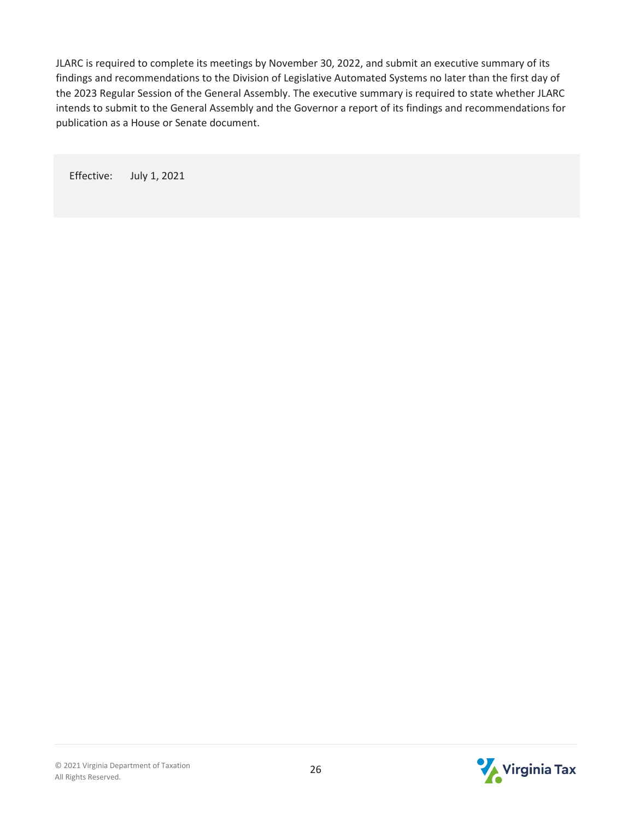JLARC is required to complete its meetings by November 30, 2022, and submit an executive summary of its findings and recommendations to the Division of Legislative Automated Systems no later than the first day of the 2023 Regular Session of the General Assembly. The executive summary is required to state whether JLARC intends to submit to the General Assembly and the Governor a report of its findings and recommendations for publication as a House or Senate document.

Effective: July 1, 2021

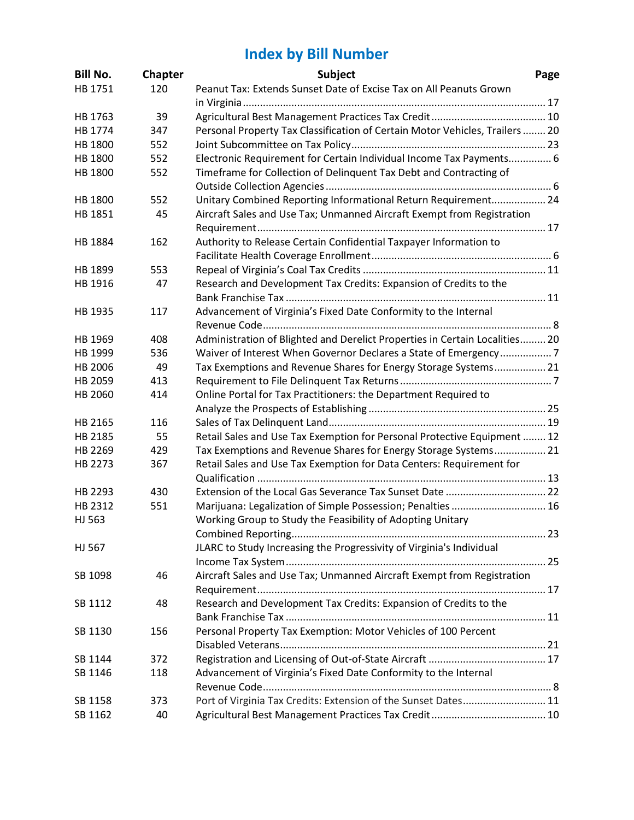## **Index by Bill Number**

| <b>Bill No.</b>    | Chapter   | <b>Subject</b>                                                                                                                              | Page |
|--------------------|-----------|---------------------------------------------------------------------------------------------------------------------------------------------|------|
| HB 1751            | 120       | Peanut Tax: Extends Sunset Date of Excise Tax on All Peanuts Grown                                                                          |      |
|                    |           |                                                                                                                                             |      |
| HB 1763            | 39        |                                                                                                                                             |      |
| HB 1774            | 347       | Personal Property Tax Classification of Certain Motor Vehicles, Trailers  20                                                                |      |
| HB 1800            | 552       |                                                                                                                                             |      |
| HB 1800            | 552       | Electronic Requirement for Certain Individual Income Tax Payments 6                                                                         |      |
| HB 1800            | 552       | Timeframe for Collection of Delinquent Tax Debt and Contracting of                                                                          |      |
|                    |           |                                                                                                                                             |      |
| HB 1800            | 552       | Unitary Combined Reporting Informational Return Requirement 24                                                                              |      |
| HB 1851            | 45        | Aircraft Sales and Use Tax; Unmanned Aircraft Exempt from Registration                                                                      |      |
|                    |           |                                                                                                                                             |      |
| HB 1884            | 162       | Authority to Release Certain Confidential Taxpayer Information to                                                                           |      |
|                    |           |                                                                                                                                             |      |
| HB 1899            | 553       |                                                                                                                                             |      |
| HB 1916            | 47        | Research and Development Tax Credits: Expansion of Credits to the                                                                           |      |
|                    |           |                                                                                                                                             |      |
| HB 1935            | 117       | Advancement of Virginia's Fixed Date Conformity to the Internal                                                                             |      |
|                    |           |                                                                                                                                             |      |
| HB 1969            | 408       | Administration of Blighted and Derelict Properties in Certain Localities 20                                                                 |      |
| HB 1999            | 536       | Waiver of Interest When Governor Declares a State of Emergency7                                                                             |      |
| HB 2006            | 49        | Tax Exemptions and Revenue Shares for Energy Storage Systems 21                                                                             |      |
| HB 2059            | 413       |                                                                                                                                             |      |
| HB 2060            | 414       | Online Portal for Tax Practitioners: the Department Required to                                                                             |      |
|                    |           |                                                                                                                                             |      |
| HB 2165            | 116       |                                                                                                                                             |      |
| HB 2185<br>HB 2269 | 55<br>429 | Retail Sales and Use Tax Exemption for Personal Protective Equipment  12<br>Tax Exemptions and Revenue Shares for Energy Storage Systems 21 |      |
| HB 2273            | 367       | Retail Sales and Use Tax Exemption for Data Centers: Requirement for                                                                        |      |
|                    |           |                                                                                                                                             |      |
| HB 2293            | 430       | Extension of the Local Gas Severance Tax Sunset Date  22                                                                                    |      |
| HB 2312            | 551       | Marijuana: Legalization of Simple Possession; Penalties  16                                                                                 |      |
| HJ 563             |           | Working Group to Study the Feasibility of Adopting Unitary                                                                                  |      |
|                    |           |                                                                                                                                             |      |
| HJ 567             |           | JLARC to Study Increasing the Progressivity of Virginia's Individual                                                                        |      |
|                    |           |                                                                                                                                             |      |
| SB 1098            | 46        | Aircraft Sales and Use Tax; Unmanned Aircraft Exempt from Registration                                                                      |      |
|                    |           |                                                                                                                                             |      |
| SB 1112            | 48        | Research and Development Tax Credits: Expansion of Credits to the                                                                           |      |
|                    |           |                                                                                                                                             |      |
| SB 1130            | 156       | Personal Property Tax Exemption: Motor Vehicles of 100 Percent                                                                              |      |
|                    |           |                                                                                                                                             |      |
| SB 1144            | 372       |                                                                                                                                             |      |
| SB 1146            | 118       | Advancement of Virginia's Fixed Date Conformity to the Internal                                                                             |      |
|                    |           |                                                                                                                                             |      |
| SB 1158            | 373       | Port of Virginia Tax Credits: Extension of the Sunset Dates 11                                                                              |      |
| SB 1162            | 40        |                                                                                                                                             |      |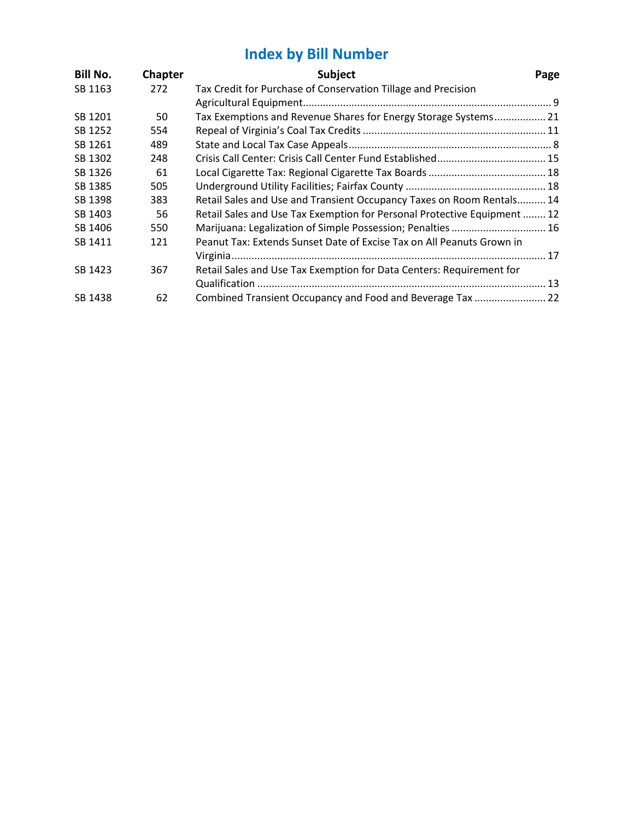## **Index by Bill Number**

| <b>Bill No.</b> | Chapter | <b>Subject</b>                                                           | Page |
|-----------------|---------|--------------------------------------------------------------------------|------|
| SB 1163         | 272     | Tax Credit for Purchase of Conservation Tillage and Precision            |      |
|                 |         |                                                                          |      |
| SB 1201         | 50      | Tax Exemptions and Revenue Shares for Energy Storage Systems 21          |      |
| SB 1252         | 554     |                                                                          |      |
| SB 1261         | 489     |                                                                          |      |
| SB 1302         | 248     |                                                                          |      |
| SB 1326         | 61      |                                                                          |      |
| SB 1385         | 505     |                                                                          |      |
| SB 1398         | 383     | Retail Sales and Use and Transient Occupancy Taxes on Room Rentals 14    |      |
| SB 1403         | 56      | Retail Sales and Use Tax Exemption for Personal Protective Equipment  12 |      |
| SB 1406         | 550     | Marijuana: Legalization of Simple Possession; Penalties 16               |      |
| SB 1411         | 121     | Peanut Tax: Extends Sunset Date of Excise Tax on All Peanuts Grown in    |      |
|                 |         |                                                                          |      |
| SB 1423         | 367     | Retail Sales and Use Tax Exemption for Data Centers: Requirement for     |      |
|                 |         |                                                                          |      |
| SB 1438         | 62      | Combined Transient Occupancy and Food and Beverage Tax  22               |      |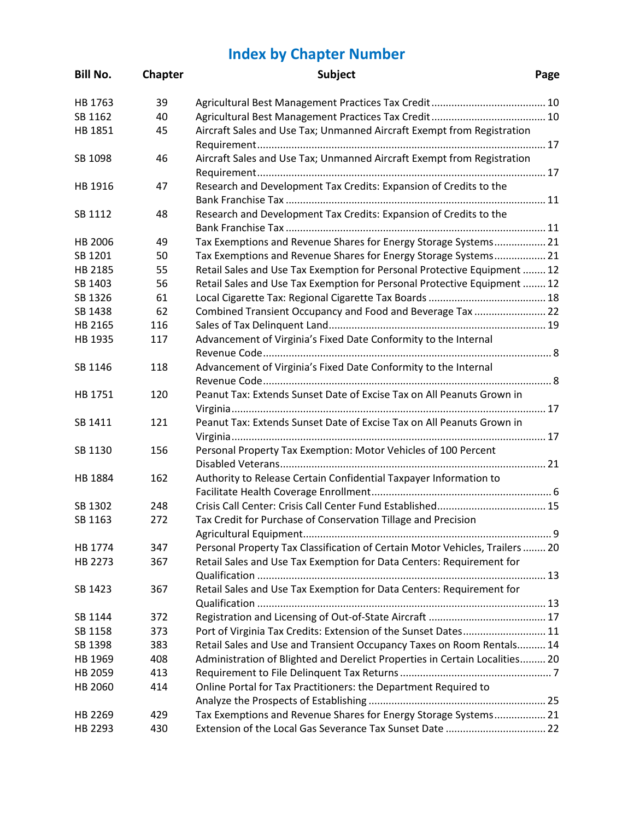## **Index by Chapter Number**

| <b>Bill No.</b> | Chapter | <b>Subject</b>                                                              | Page |
|-----------------|---------|-----------------------------------------------------------------------------|------|
| HB 1763         | 39      |                                                                             |      |
| SB 1162         | 40      |                                                                             |      |
| HB 1851         | 45      | Aircraft Sales and Use Tax; Unmanned Aircraft Exempt from Registration      |      |
| SB 1098         | 46      | Aircraft Sales and Use Tax; Unmanned Aircraft Exempt from Registration      |      |
| HB 1916         | 47      | Research and Development Tax Credits: Expansion of Credits to the           |      |
| SB 1112         | 48      | Research and Development Tax Credits: Expansion of Credits to the           |      |
| HB 2006         | 49      | Tax Exemptions and Revenue Shares for Energy Storage Systems 21             |      |
| SB 1201         | 50      | Tax Exemptions and Revenue Shares for Energy Storage Systems 21             |      |
| HB 2185         | 55      | Retail Sales and Use Tax Exemption for Personal Protective Equipment  12    |      |
| SB 1403         | 56      | Retail Sales and Use Tax Exemption for Personal Protective Equipment  12    |      |
| SB 1326         | 61      |                                                                             |      |
| SB 1438         | 62      | Combined Transient Occupancy and Food and Beverage Tax  22                  |      |
| HB 2165         | 116     |                                                                             |      |
| HB 1935         | 117     | Advancement of Virginia's Fixed Date Conformity to the Internal             |      |
| SB 1146         | 118     | Advancement of Virginia's Fixed Date Conformity to the Internal             |      |
| HB 1751         | 120     | Peanut Tax: Extends Sunset Date of Excise Tax on All Peanuts Grown in       |      |
| SB 1411         | 121     | Peanut Tax: Extends Sunset Date of Excise Tax on All Peanuts Grown in       |      |
| SB 1130         | 156     | Personal Property Tax Exemption: Motor Vehicles of 100 Percent              |      |
| HB 1884         | 162     | Authority to Release Certain Confidential Taxpayer Information to           |      |
| SB 1302         | 248     |                                                                             |      |
| SB 1163         | 272     | Tax Credit for Purchase of Conservation Tillage and Precision               |      |
| HB 1774         | 347     | Personal Property Tax Classification of Certain Motor Vehicles, Trailers 20 |      |
| HB 2273         | 367     | Retail Sales and Use Tax Exemption for Data Centers: Requirement for        |      |
| SB 1423         | 367     | Retail Sales and Use Tax Exemption for Data Centers: Requirement for        |      |
| SB 1144         | 372     |                                                                             |      |
| SB 1158         | 373     | Port of Virginia Tax Credits: Extension of the Sunset Dates 11              |      |
| SB 1398         | 383     | Retail Sales and Use and Transient Occupancy Taxes on Room Rentals 14       |      |
| HB 1969         | 408     | Administration of Blighted and Derelict Properties in Certain Localities 20 |      |
| HB 2059         | 413     |                                                                             |      |
| HB 2060         | 414     | Online Portal for Tax Practitioners: the Department Required to             |      |
| HB 2269         | 429     | Tax Exemptions and Revenue Shares for Energy Storage Systems 21             |      |
| HB 2293         | 430     | Extension of the Local Gas Severance Tax Sunset Date  22                    |      |